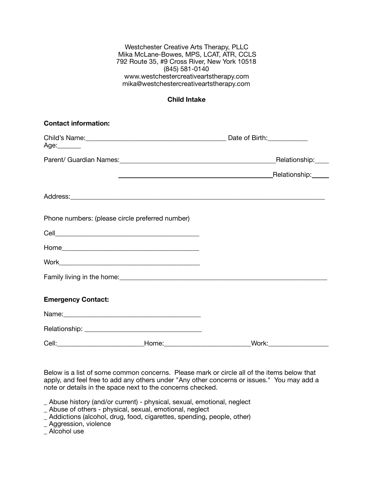Westchester Creative Arts Therapy, PLLC Mika McLane-Bowes, MPS, LCAT, ATR, CCLS 792 Route 35, #9 Cross River, New York 10518 (845) 581-0140 [www.westchestercreativeartstherapy.com](http://www.westchestercreativeartstherapy.com) [mika@westchestercreativeartstherapy.com](mailto:mika@westchestercreativeartstherapy.com)

## **Child Intake**

| <b>Contact information:</b>                     |                             |                                                                                                                                                                                                                                     |  |
|-------------------------------------------------|-----------------------------|-------------------------------------------------------------------------------------------------------------------------------------------------------------------------------------------------------------------------------------|--|
| Age:_______                                     |                             |                                                                                                                                                                                                                                     |  |
|                                                 |                             |                                                                                                                                                                                                                                     |  |
|                                                 |                             |                                                                                                                                                                                                                                     |  |
|                                                 |                             | Address: <u>Address:</u> Address: Address: Address: Address: Address: Address: Address: Address: Address: Address: Address: Address: Address: Address: Address: Address: Address: Address: Address: Address: Address: Address: Addr |  |
| Phone numbers: (please circle preferred number) |                             |                                                                                                                                                                                                                                     |  |
|                                                 |                             |                                                                                                                                                                                                                                     |  |
|                                                 |                             |                                                                                                                                                                                                                                     |  |
|                                                 |                             |                                                                                                                                                                                                                                     |  |
|                                                 |                             | Family living in the home:<br><u> and</u> in the home:                                                                                                                                                                              |  |
| <b>Emergency Contact:</b>                       |                             |                                                                                                                                                                                                                                     |  |
|                                                 |                             |                                                                                                                                                                                                                                     |  |
|                                                 |                             |                                                                                                                                                                                                                                     |  |
|                                                 | _Home:_____________________ | Work:_____________                                                                                                                                                                                                                  |  |

Below is a list of some common concerns. Please mark or circle all of the items below that apply, and feel free to add any others under "Any other concerns or issues." You may add a note or details in the space next to the concerns checked.

\_ Abuse history (and/or current) - physical, sexual, emotional, neglect

\_ Abuse of others - physical, sexual, emotional, neglect

\_ Addictions (alcohol, drug, food, cigarettes, spending, people, other)

\_ Aggression, violence

\_ Alcohol use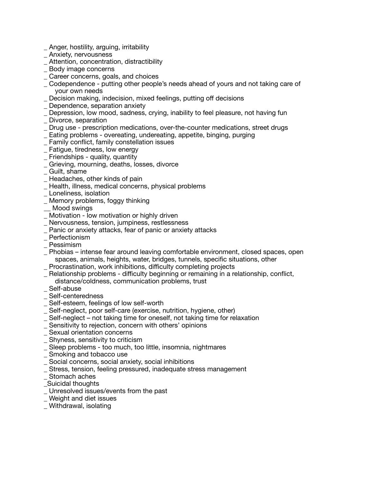- \_ Anger, hostility, arguing, irritability
- \_ Anxiety, nervousness
- \_ Attention, concentration, distractibility
- \_ Body image concerns
- \_ Career concerns, goals, and choices
- \_ Codependence putting other people's needs ahead of yours and not taking care of your own needs
- Decision making, indecision, mixed feelings, putting off decisions
- \_ Dependence, separation anxiety
- \_ Depression, low mood, sadness, crying, inability to feel pleasure, not having fun
- \_ Divorce, separation
- \_ Drug use prescription medications, over-the-counter medications, street drugs
- \_ Eating problems overeating, undereating, appetite, binging, purging
- \_ Family conflict, family constellation issues
- \_ Fatigue, tiredness, low energy
- \_ Friendships quality, quantity
- \_ Grieving, mourning, deaths, losses, divorce
- \_ Guilt, shame
- Headaches, other kinds of pain
- \_ Health, illness, medical concerns, physical problems
- \_ Loneliness, isolation
- \_ Memory problems, foggy thinking
- Mood swings
- \_ Motivation low motivation or highly driven
- \_ Nervousness, tension, jumpiness, restlessness
- \_ Panic or anxiety attacks, fear of panic or anxiety attacks
- \_ Perfectionism
- \_ Pessimism
- \_ Phobias intense fear around leaving comfortable environment, closed spaces, open spaces, animals, heights, water, bridges, tunnels, specific situations, other
- \_ Procrastination, work inhibitions, difficulty completing projects
- \_ Relationship problems difficulty beginning or remaining in a relationship, conflict,
- distance/coldness, communication problems, trust
- \_ Self-abuse
- \_ Self-centeredness
- \_ Self-esteem, feelings of low self-worth
- \_ Self-neglect, poor self-care (exercise, nutrition, hygiene, other)
- \_ Self-neglect not taking time for oneself, not taking time for relaxation
- \_ Sensitivity to rejection, concern with others' opinions
- Sexual orientation concerns
- \_ Shyness, sensitivity to criticism
- \_ Sleep problems too much, too little, insomnia, nightmares
- \_ Smoking and tobacco use
- \_ Social concerns, social anxiety, social inhibitions
- \_ Stress, tension, feeling pressured, inadequate stress management
- \_ Stomach aches
- \_Suicidal thoughts
- \_ Unresolved issues/events from the past
- \_ Weight and diet issues
- \_ Withdrawal, isolating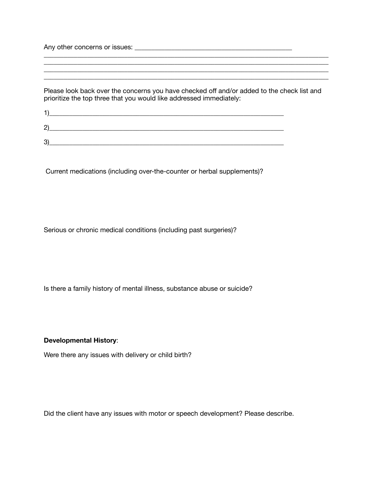Any other concerns or issues: \_\_\_\_\_\_\_\_\_\_\_\_\_\_\_\_\_\_\_\_\_\_\_\_\_\_\_\_\_\_\_\_\_\_\_\_\_\_\_\_\_\_\_\_\_\_\_

Please look back over the concerns you have checked off and/or added to the check list and prioritize the top three that you would like addressed immediately:

\_\_\_\_\_\_\_\_\_\_\_\_\_\_\_\_\_\_\_\_\_\_\_\_\_\_\_\_\_\_\_\_\_\_\_\_\_\_\_\_\_\_\_\_\_\_\_\_\_\_\_\_\_\_\_\_\_\_\_\_\_\_\_\_\_\_\_\_\_\_\_\_\_\_\_\_\_\_\_\_\_\_\_\_\_ \_\_\_\_\_\_\_\_\_\_\_\_\_\_\_\_\_\_\_\_\_\_\_\_\_\_\_\_\_\_\_\_\_\_\_\_\_\_\_\_\_\_\_\_\_\_\_\_\_\_\_\_\_\_\_\_\_\_\_\_\_\_\_\_\_\_\_\_\_\_\_\_\_\_\_\_\_\_\_\_\_\_\_\_\_

\_\_\_\_\_\_\_\_\_\_\_\_\_\_\_\_\_\_\_\_\_\_\_\_\_\_\_\_\_\_\_\_\_\_\_\_\_\_\_\_\_\_\_\_\_\_\_\_\_\_\_\_\_\_\_\_\_\_\_\_\_\_\_\_\_\_\_\_\_\_\_\_\_\_\_\_\_\_\_\_\_\_\_\_\_

| - |  |
|---|--|
| o |  |

Current medications (including over-the-counter or herbal supplements)?

Serious or chronic medical conditions (including past surgeries)?

Is there a family history of mental illness, substance abuse or suicide?

## **Developmental History**:

Were there any issues with delivery or child birth?

Did the client have any issues with motor or speech development? Please describe.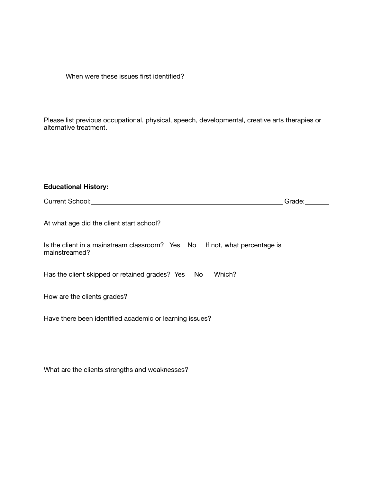When were these issues first identified?

Please list previous occupational, physical, speech, developmental, creative arts therapies or alternative treatment.

## **Educational History:**

| <b>Current School:</b> | .irade: |  |
|------------------------|---------|--|
|                        |         |  |

At what age did the client start school?

| Is the client in a mainstream classroom? Yes No If not, what percentage is |  |  |
|----------------------------------------------------------------------------|--|--|
| mainstreamed?                                                              |  |  |

Has the client skipped or retained grades? Yes No Which?

How are the clients grades?

Have there been identified academic or learning issues?

What are the clients strengths and weaknesses?